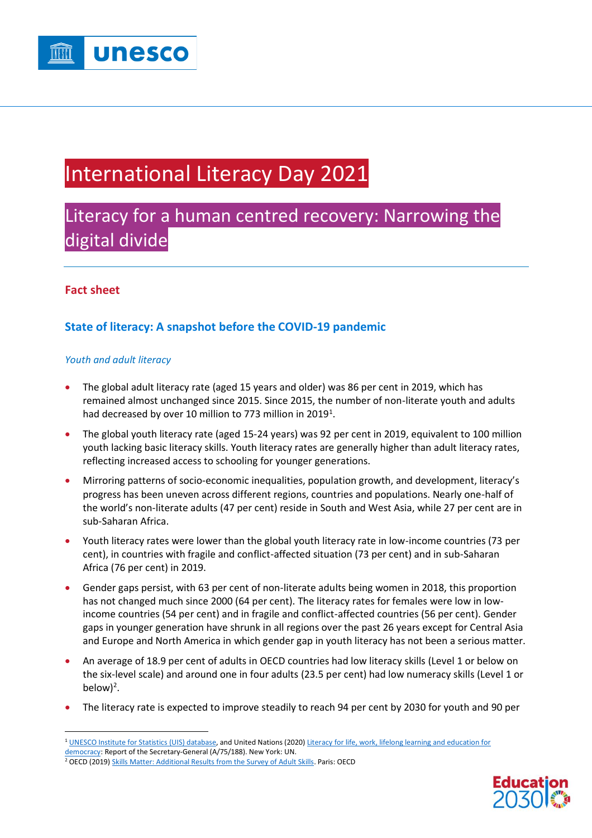

# International Literacy Day 2021

## Literacy for a human centred recovery: Narrowing the digital divide

### **Fact sheet**

## **State of literacy: A snapshot before the COVID-19 pandemic**

#### *Youth and adult literacy*

- The global adult literacy rate (aged 15 years and older) was 86 per cent in 2019, which has remained almost unchanged since 2015. Since 2015, the number of non-literate youth and adults had decreased by over 10 million to 773 million in 2019<sup>1</sup>.
- The global youth literacy rate (aged 15-24 years) was 92 per cent in 2019, equivalent to 100 million youth lacking basic literacy skills. Youth literacy rates are generally higher than adult literacy rates, reflecting increased access to schooling for younger generations.
- Mirroring patterns of socio-economic inequalities, population growth, and development, literacy's progress has been uneven across different regions, countries and populations. Nearly one-half of the world's non-literate adults (47 per cent) reside in South and West Asia, while 27 per cent are in sub-Saharan Africa.
- Youth literacy rates were lower than the global youth literacy rate in low-income countries (73 per cent), in countries with fragile and conflict-affected situation (73 per cent) and in sub-Saharan Africa (76 per cent) in 2019.
- Gender gaps persist, with 63 per cent of non-literate adults being women in 2018, this proportion has not changed much since 2000 (64 per cent). The literacy rates for females were low in lowincome countries (54 per cent) and in fragile and conflict-affected countries (56 per cent). Gender gaps in younger generation have shrunk in all regions over the past 26 years except for Central Asia and Europe and North America in which gender gap in youth literacy has not been a serious matter.
- An average of 18.9 per cent of adults in OECD countries had low literacy skills (Level 1 or below on the six-level scale) and around one in four adults (23.5 per cent) had low numeracy skills (Level 1 or below)<sup>2</sup>.
- The literacy rate is expected to improve steadily to reach 94 per cent by 2030 for youth and 90 per



<sup>&</sup>lt;sup>1</sup> [UNESCO Institute for Statistics \(UIS\) database,](http://uis.unesco.org/en/topic/literacy) and United Nations (2020) Literacy for life, work, lifelong learning and education for [democracy:](https://undocs.org/A/75/188) Report of the Secretary-General (A/75/188). New York: UN.

<sup>&</sup>lt;sup>2</sup> OECD (2019[\) Skills Matter: Additional Results from the Survey of Adult Skills.](https://www.oecd-ilibrary.org/education/skills-matter_1f029d8f-en?_ga=2.215705301.39099791.1630183012-1663758098.1629724776) Paris: OECD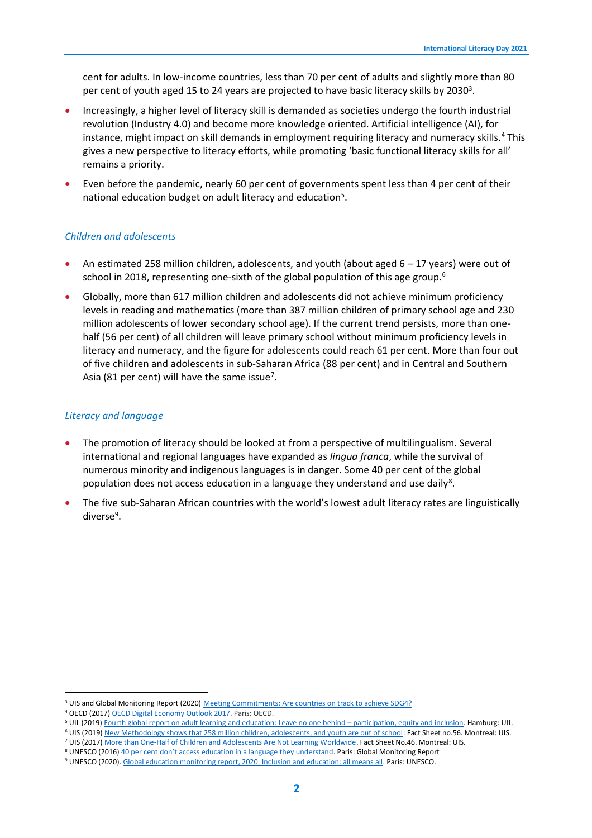cent for adults. In low-income countries, less than 70 per cent of adults and slightly more than 80 per cent of youth aged 15 to 24 years are projected to have basic literacy skills by 2030<sup>3</sup>.

- Increasingly, a higher level of literacy skill is demanded as societies undergo the fourth industrial revolution (Industry 4.0) and become more knowledge oriented. Artificial intelligence (AI), for instance, might impact on skill demands in employment requiring literacy and numeracy skills.<sup>4</sup> This gives a new perspective to literacy efforts, while promoting 'basic functional literacy skills for all' remains a priority.
- Even before the pandemic, nearly 60 per cent of governments spent less than 4 per cent of their national education budget on adult literacy and education<sup>5</sup>.

#### *Children and adolescents*

- An estimated 258 million children, adolescents, and youth (about aged  $6 17$  years) were out of school in 2018, representing one-sixth of the global population of this age group.<sup>6</sup>
- Globally, more than 617 million children and adolescents did not achieve minimum proficiency levels in reading and mathematics (more than 387 million children of primary school age and 230 million adolescents of lower secondary school age). If the current trend persists, more than onehalf (56 per cent) of all children will leave primary school without minimum proficiency levels in literacy and numeracy, and the figure for adolescents could reach 61 per cent. More than four out of five children and adolescents in sub-Saharan Africa (88 per cent) and in Central and Southern Asia (81 per cent) will have the same issue<sup>7</sup>.

#### *Literacy and language*

- The promotion of literacy should be looked at from a perspective of multilingualism. Several international and regional languages have expanded as *lingua franca*, while the survival of numerous minority and indigenous languages is in danger. Some 40 per cent of the global population does not access education in a language they understand and use daily<sup>8</sup>.
- The five sub-Saharan African countries with the world's lowest adult literacy rates are linguistically diverse<sup>9</sup>.

<sup>3</sup> UIS and Global Monitoring Report (2020[\) Meeting Commitments: Are countries on track to achieve SDG4?](http://uis.unesco.org/sites/default/files/documents/meeting-commitments-are-countries-on-track-achieve-sdg4.pdf)

<sup>4</sup> OECD (2017[\) OECD Digital Economy Outlook 2017.](https://www.oecd-ilibrary.org/sites/9789264276284-en/index.html?itemId=/content/publication/9789264276284-en) Paris: OECD.

<sup>5</sup> UIL (2019[\) Fourth global report on adult learning and education: Leave no one behind](https://unesdoc.unesco.org/ark:/48223/pf0000372274) – participation, equity and inclusion. Hamburg: UIL.

<sup>6</sup> UIS (2019[\) New Methodology shows that 258 million children, adolescents, and youth are out of school:](http://uis.unesco.org/sites/default/files/documents/new-methodology-shows-258-million-children-adolescents-and-youth-are-out-school.pdf) Fact Sheet no.56. Montreal: UIS.

<sup>7</sup> UIS (2017[\) More than One-Half of Children and Adolescents Are Not Learning Worldwide.](http://uis.unesco.org/sites/default/files/documents/fs46-more-than-half-children-not-learning-en-2017.pdf) Fact Sheet No.46. Montreal: UIS.

<sup>8</sup> UNESCO (2016) 40 per cent [don't access education in a language they understand](https://en.unesco.org/gem-report/sites/default/files/MLD_2016.pdf). Paris: Global Monitoring Report

<sup>9</sup> UNESCO (2020)[. Global education monitoring report, 2020: Inclusion and education: all means all.](https://unesdoc.unesco.org/ark:/48223/pf0000373718) Paris: UNESCO.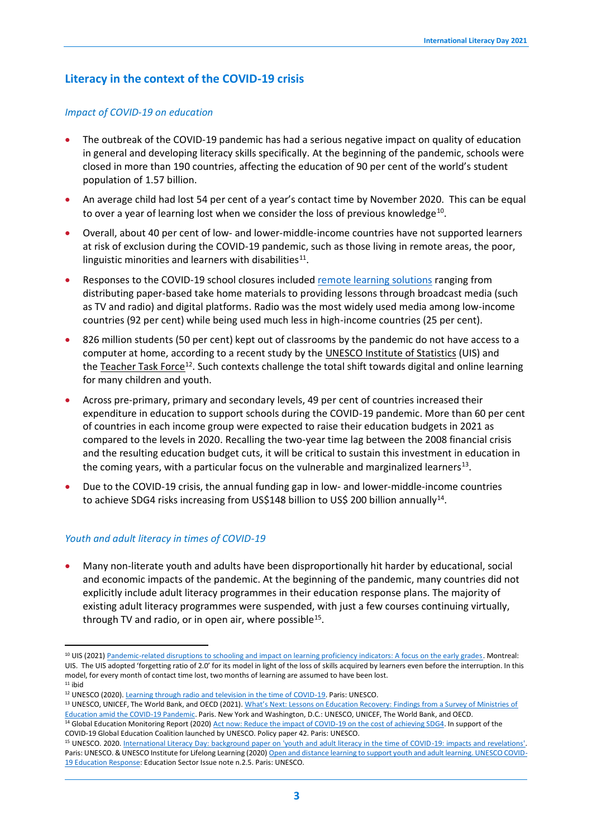## **Literacy in the context of the COVID-19 crisis**

#### *Impact of COVID-19 on education*

- The outbreak of the COVID-19 pandemic has had a serious negative impact on quality of education in general and developing literacy skills specifically. At the beginning of the pandemic, schools were closed in more than 190 countries, affecting the education of 90 per cent of the world's student population of 1.57 billion.
- An average child had lost 54 per cent of a year's contact time by November 2020. This can be equal to over a year of learning lost when we consider the loss of previous knowledge<sup>10</sup>.
- Overall, about 40 per cent of low- and lower-middle-income countries have not supported learners at risk of exclusion during the COVID-19 pandemic, such as those living in remote areas, the poor, linguistic minorities and learners with disabilities $^{11}$ .
- Responses to the COVID-19 school closures included [remote learning solutions](http://covid19.uis.unesco.org/gpe-map/) ranging from distributing paper-based take home materials to providing lessons through broadcast media (such as TV and radio) and digital platforms. Radio was the most widely used media among low-income countries (92 per cent) while being used much less in high-income countries (25 per cent).
- 826 million students (50 per cent) kept out of classrooms by the pandemic do not have access to a computer at home, according to a recent study by the [UNESCO Institute of Statistics](http://uis.unesco.org/) (UIS) and the [Teacher Task Force](https://teachertaskforce.org/)<sup>12</sup>. Such contexts challenge the total shift towards digital and online learning for many children and youth.
- Across pre-primary, primary and secondary levels, 49 per cent of countries increased their expenditure in education to support schools during the COVID-19 pandemic. More than 60 per cent of countries in each income group were expected to raise their education budgets in 2021 as compared to the levels in 2020. Recalling the two-year time lag between the 2008 financial crisis and the resulting education budget cuts, it will be critical to sustain this investment in education in the coming years, with a particular focus on the vulnerable and marginalized learners<sup>13</sup>.
- Due to the COVID-19 crisis, the annual funding gap in low- and lower-middle-income countries to achieve SDG4 risks increasing from US\$148 billion to US\$ 200 billion annually<sup>14</sup>.

#### *Youth and adult literacy in times of COVID-19*

• Many non-literate youth and adults have been disproportionally hit harder by educational, social and economic impacts of the pandemic. At the beginning of the pandemic, many countries did not explicitly include adult literacy programmes in their education response plans. The majority of existing adult literacy programmes were suspended, with just a few courses continuing virtually, through TV and radio, or in open air, where possible<sup>15</sup>.

<sup>10</sup> UIS (2021[\) Pandemic-related disruptions to schooling and impact on learning proficiency indicators: A focus on the early grades.](http://uis.unesco.org/sites/default/files/documents/covid-19_interruptions_to_learning_-_final2.pdf) Montreal: UIS. The UIS adopted 'forgetting ratio of 2.0' for its model in light of the loss of skills acquired by learners even before the interruption. In this model, for every month of contact time lost, two months of learning are assumed to have been lost.  $11$  ibid

<sup>&</sup>lt;sup>12</sup> UNESCO (2020)[. Learning through radio and television in the time of COVID-19.](https://en.unesco.org/news/learning-through-radio-and-television-time-covid-19) Paris: UNESCO.

<sup>13</sup> UNESCO, UNICEF, The World Bank, and OECD (2021). What's Next: Lessons on Education Recovery: Findings from a Survey of Ministries of [Education amid the COVID-19 Pandemic.](http://uis.unesco.org/sites/default/files/documents/lessons_on_education_recovery.pdf) Paris. New York and Washington, D.C.: UNESCO, UNICEF, The World Bank, and OECD. <sup>14</sup> Global Education Monitoring Report (2020[\) Act now: Reduce the impact of COVID-19 on the cost of achieving SDG4.](file:///C:/Users/beatrizsalgado/Downloads/AppData/Local/Microsoft/Windows/INetCache/Content.Outlook/Downloads/374163eng%20(1).pdf) In support of the

COVID-19 Global Education Coalition launched by UNESCO. Policy paper 42. Paris: UNESCO.

<sup>15</sup> UNESCO. 2020[. International Literacy Day: background paper on 'youth and adult literacy in the time of COVID-19: impacts and revelations'.](https://unesdoc.unesco.org/ark:/48223/pf0000374187)  Paris: UNESCO. & UNESCO Institute for Lifelong Learning (2020[\) Open and distance learning to support youth and adult learning. UNESCO COVID-](https://unesdoc.unesco.org/ark:/48223/pf0000373815)[19 Education Response:](https://unesdoc.unesco.org/ark:/48223/pf0000373815) Education Sector Issue note n.2.5. Paris: UNESCO.